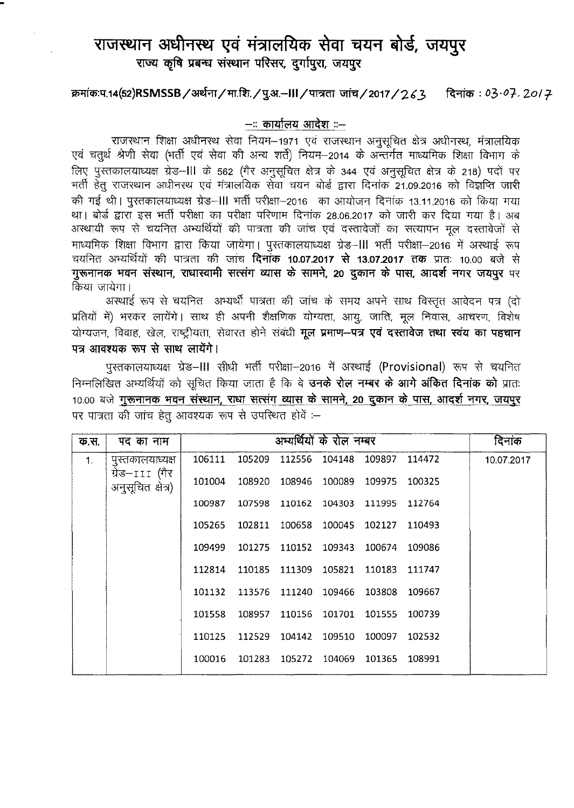## ~ ~ ~ Ji?lI(rt~Ch w.rr **tllfYi ~, \i1lf9)'<** राज्य कृषि प्रबन्ध संस्थान परिसर, दर्गापुरा, जयपुर

## ~:q.14(52)RSMSSB/~/1lT.f~r./l3l'·-III/tJT?Jm \iffT.J/2017/?.t3 <sup>~</sup> : *°3.0].201 r*

## --:: कार्यालय आदेश ::--

राजस्थान शिक्षा अधीनस्थ सेवा नियम-1971 एवं राजस्थान अनुसूचित क्षेत्र अधीनस्थ, मंत्रालयिक राजस्थान गशक्षा अधानस्थ सवा नियम–1971 एवं राजस्थान अनुसूचित क्षत्र अधानस्थ, मत्रालायक<br>एवं चतुर्थ श्रेणी सेवा (भर्ती एवं सेवा की अन्य शर्ते) नियम–2014 के अन्तर्गत माध्यमिक शिक्षा विभाग के एव चतुर्थ त्रणा सवा (मता एव सवा का अन्य शत) ।नयम–2014 के अन्तगत माध्यामक शिक्षा ।वमाग के<br>लिए पुस्तकालयाध्यक्ष ग्रेड–III के 562 (गैर अनुसूचित क्षेत्र के 344 एवं अनुसूचित क्षेत्र के 218) पदों पर ~ tg ~ 31~~ \fCi li'?lIC'lfuCb~ <sup>~</sup> <sup>~</sup> &RT <sup>~</sup> 21.09.2016 cpT <sup>~</sup> <sup>~</sup> की गई थी। पुस्तकालयाध्यक्ष ग्रेड–III भर्ती परीक्षा–2016) का आयोजन दिनांक 13.11.2016 को किया गया था। बोर्ड द्वारा इस भर्ती परीक्षा का परीक्षा परिणाम दिनांक 28.06.2017 को जारी कर दिया गया है। अब <sup>~</sup> XtiLf <sup>~</sup> *"iN* PId ~ qfr trT?IC1T qfr \Jff"'q \fCi ~ fd 1C1\J11' Cf)T fklll q'1 ~ ~fd 1~\J11'~ माध्यमिक शिक्षा विभाग द्वारा किया जायेगा। पुस्तकालयाध्यक्ष ग्रेड–III भर्ती परीक्षा–2016 में अस्थाई रूप चयनित अभ्यर्थियों की पात्रता की जांच **दिनाँक 10.07.2017 से 13.07.2017 तक** प्रातः 10.00 बजे से गुरूनानक भवन संस्थान, राधास्वामी सत्संग व्यास के सामने, 20 दुकान के पास, आदर्श नगर जयपुर पर किया जायेगा।

ायेगा।<br>अस्थाई रूप से चयनित अभ्यर्थी पात्रता की जांच के समय अपने साथ विस्तृत आवेदन पत्र (दो प्रतियों में) भरकर लायेंगे। साथ ही अपनी शैक्षणिक योग्यता, आयु, जाति, मूल निवास, आचरण, विशेष योग्यजन, विवाह, खेल, राष्ट्रीयता, सेवारत होने संबंधी **मूल प्रमाण-पत्र एवं दस्तावेज तथा स्वंय का पहचान** पत्र आवश्यक रूप से साथ लायेंगे।

पुस्तकालयाध्यक्ष ग्रेड–III सीधी भर्ती परीक्षा-2016 में अस्थाई (Provisional) रूप से चयनित निम्नलिखित अभ्यर्थियों को सूचित किया जाता है कि वे **उनके रोल नम्बर के आगे अंकित दिनांक को** प्रातः 10.00 बजे गुरूनानक भवन संस्थान, राधा सत्संग व्यास के सामने, 20 दुकान के पास, आदर्श नगर, जयपूर पर पात्रता की जांच हेतु आवश्यक रूप से उपस्थित होवें :-

| क.स. | पद का नाम                           | अम्यर्थियों के रोल नम्बर<br>दिनाक<br>106111<br>105209<br>112556<br>109897<br>104148<br>114472<br>10.07.2017<br>101004<br>108920 108946 100089 109975 100325<br>100987<br>107598 110162 104303 111995 112764<br>102811 100658 100045 102127 110493<br>105265<br>109499<br>101275 110152 109343 100674 109086<br>110185 111309 105821 110183 111747 |                                           |               |        |                                    |  |  |
|------|-------------------------------------|---------------------------------------------------------------------------------------------------------------------------------------------------------------------------------------------------------------------------------------------------------------------------------------------------------------------------------------------------|-------------------------------------------|---------------|--------|------------------------------------|--|--|
| 1.   | पुस्तकालयाध्यक्ष                    |                                                                                                                                                                                                                                                                                                                                                   |                                           |               |        |                                    |  |  |
|      | ग्रेड–111 (गैर<br>अनुसूचित क्षेत्र) |                                                                                                                                                                                                                                                                                                                                                   |                                           |               |        |                                    |  |  |
|      |                                     |                                                                                                                                                                                                                                                                                                                                                   |                                           |               |        |                                    |  |  |
|      |                                     |                                                                                                                                                                                                                                                                                                                                                   |                                           |               |        |                                    |  |  |
|      |                                     |                                                                                                                                                                                                                                                                                                                                                   |                                           |               |        |                                    |  |  |
|      |                                     | 112814                                                                                                                                                                                                                                                                                                                                            |                                           |               |        |                                    |  |  |
|      |                                     |                                                                                                                                                                                                                                                                                                                                                   | 101132 113576 111240 109466 103808 109667 |               |        |                                    |  |  |
|      |                                     | 101558                                                                                                                                                                                                                                                                                                                                            |                                           | 108957 110156 |        | 101701 101555 100739               |  |  |
|      |                                     | 110125                                                                                                                                                                                                                                                                                                                                            |                                           |               |        | 112529 104142 109510 100097 102532 |  |  |
|      |                                     | 100016                                                                                                                                                                                                                                                                                                                                            |                                           | 101283 105272 | 104069 | 101365 108991                      |  |  |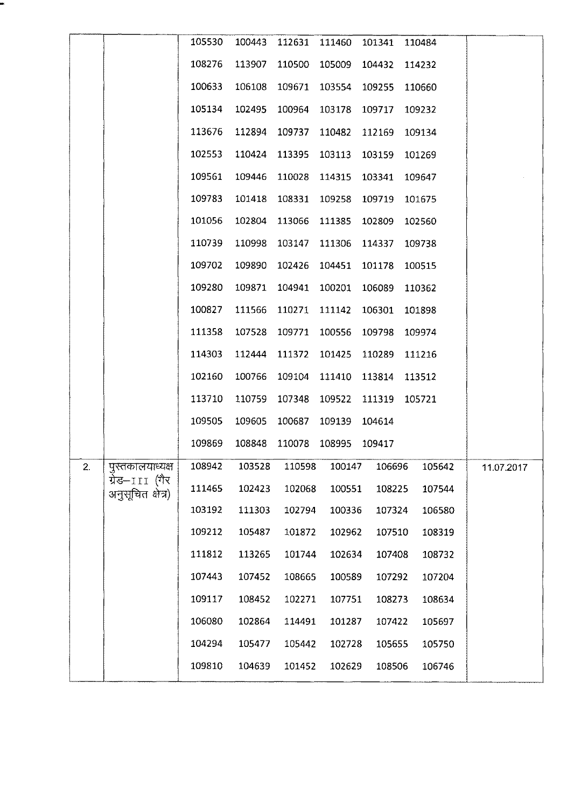|    |                                     | 105530 | 100443 | 112631 | 111460 | 101341 | 110484 |            |  |
|----|-------------------------------------|--------|--------|--------|--------|--------|--------|------------|--|
|    |                                     | 108276 | 113907 | 110500 | 105009 | 104432 | 114232 |            |  |
|    |                                     | 100633 | 106108 | 109671 | 103554 | 109255 | 110660 |            |  |
|    |                                     | 105134 | 102495 | 100964 | 103178 | 109717 | 109232 |            |  |
|    |                                     | 113676 | 112894 | 109737 | 110482 | 112169 | 109134 |            |  |
|    |                                     | 102553 | 110424 | 113395 | 103113 | 103159 | 101269 |            |  |
|    |                                     | 109561 | 109446 | 110028 | 114315 | 103341 | 109647 |            |  |
|    |                                     | 109783 | 101418 | 108331 | 109258 | 109719 | 101675 |            |  |
|    |                                     | 101056 | 102804 | 113066 | 111385 | 102809 | 102560 |            |  |
|    |                                     | 110739 | 110998 | 103147 | 111306 | 114337 | 109738 |            |  |
|    |                                     | 109702 | 109890 | 102426 | 104451 | 101178 | 100515 |            |  |
|    |                                     | 109280 | 109871 | 104941 | 100201 | 106089 | 110362 |            |  |
|    |                                     | 100827 | 111566 | 110271 | 111142 | 106301 | 101898 |            |  |
|    |                                     | 111358 | 107528 | 109771 | 100556 | 109798 | 109974 |            |  |
|    |                                     | 114303 | 112444 | 111372 | 101425 | 110289 | 111216 |            |  |
|    |                                     | 102160 | 100766 | 109104 | 111410 | 113814 | 113512 |            |  |
|    |                                     | 113710 | 110759 | 107348 | 109522 | 111319 | 105721 |            |  |
|    |                                     | 109505 | 109605 | 100687 | 109139 | 104614 |        |            |  |
|    |                                     | 109869 | 108848 | 110078 | 108995 | 109417 |        |            |  |
| 2. | पुस्तकालयाध्यक्ष                    | 108942 | 103528 | 110598 | 100147 | 106696 | 105642 | 11.07.2017 |  |
|    | ग्रेड–111 (गैर<br>अनुसूचित क्षेत्र) | 111465 | 102423 | 102068 | 100551 | 108225 | 107544 |            |  |
|    |                                     | 103192 | 111303 | 102794 | 100336 | 107324 | 106580 |            |  |
|    |                                     | 109212 | 105487 | 101872 | 102962 | 107510 | 108319 |            |  |
|    |                                     | 111812 | 113265 | 101744 | 102634 | 107408 | 108732 |            |  |
|    |                                     | 107443 | 107452 | 108665 | 100589 | 107292 | 107204 |            |  |
|    |                                     | 109117 | 108452 | 102271 | 107751 | 108273 | 108634 |            |  |
|    |                                     | 106080 | 102864 | 114491 | 101287 | 107422 | 105697 |            |  |
|    |                                     | 104294 | 105477 | 105442 | 102728 | 105655 | 105750 |            |  |
|    |                                     | 109810 | 104639 | 101452 | 102629 | 108506 | 106746 |            |  |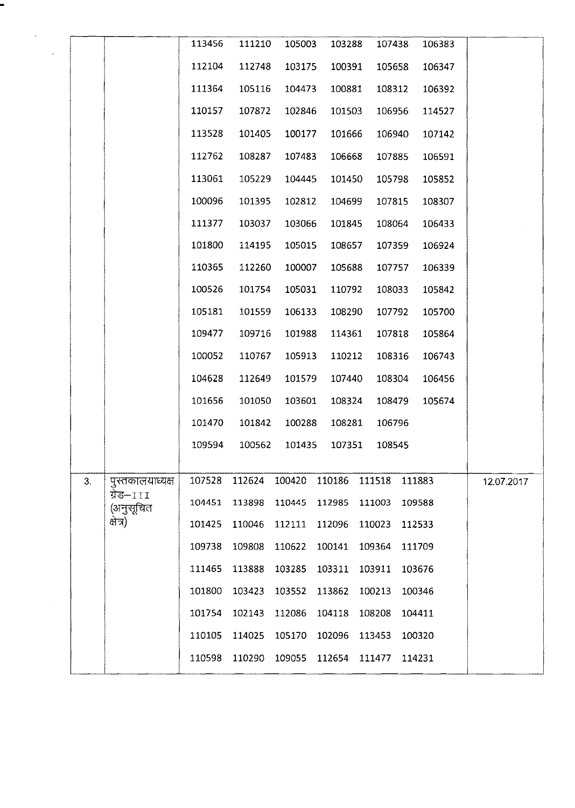|    |                               | 113456 | 111210 | 105003 | 103288 | 107438                      | 106383 |            |  |
|----|-------------------------------|--------|--------|--------|--------|-----------------------------|--------|------------|--|
|    |                               | 112104 | 112748 | 103175 | 100391 | 105658                      | 106347 |            |  |
|    |                               | 111364 | 105116 | 104473 | 100881 | 108312                      | 106392 |            |  |
|    |                               | 110157 | 107872 | 102846 | 101503 | 106956                      | 114527 |            |  |
|    |                               | 113528 | 101405 | 100177 | 101666 | 106940                      | 107142 |            |  |
|    |                               | 112762 | 108287 | 107483 | 106668 | 107885                      | 106591 |            |  |
|    |                               | 113061 | 105229 | 104445 | 101450 | 105798                      | 105852 |            |  |
|    |                               | 100096 | 101395 | 102812 | 104699 | 107815                      | 108307 |            |  |
|    |                               | 111377 | 103037 | 103066 | 101845 | 108064                      | 106433 |            |  |
|    |                               | 101800 | 114195 | 105015 | 108657 | 107359                      | 106924 |            |  |
|    |                               | 110365 | 112260 | 100007 | 105688 | 107757                      | 106339 |            |  |
|    |                               | 100526 | 101754 | 105031 | 110792 | 108033                      | 105842 |            |  |
|    |                               | 105181 | 101559 | 106133 | 108290 | 107792                      | 105700 |            |  |
|    |                               | 109477 | 109716 | 101988 | 114361 | 107818                      | 105864 |            |  |
|    |                               | 100052 | 110767 | 105913 | 110212 | 108316                      | 106743 |            |  |
|    |                               | 104628 | 112649 | 101579 | 107440 | 108304                      | 106456 |            |  |
|    |                               | 101656 | 101050 | 103601 | 108324 | 108479                      | 105674 |            |  |
|    |                               | 101470 | 101842 | 100288 | 108281 | 106796                      |        |            |  |
|    |                               | 109594 | 100562 | 101435 | 107351 | 108545                      |        |            |  |
|    |                               |        |        |        |        |                             |        |            |  |
| 3. | पुस्तकालयाध्यक्ष<br>ग्रेड–111 | 107528 | 112624 | 100420 | 110186 | 111518 111883               |        | 12.07.2017 |  |
|    | (अनुसूचित                     | 104451 | 113898 | 110445 | 112985 | 111003                      | 109588 |            |  |
|    | क्षेत्र)                      | 101425 | 110046 | 112111 | 112096 | 110023                      | 112533 |            |  |
|    |                               | 109738 | 109808 | 110622 | 100141 | 109364                      | 111709 |            |  |
|    |                               | 111465 | 113888 | 103285 | 103311 | 103911                      | 103676 |            |  |
|    |                               | 101800 | 103423 | 103552 | 113862 | 100213                      | 100346 |            |  |
|    |                               | 101754 | 102143 | 112086 | 104118 | 108208                      | 104411 |            |  |
|    |                               | 110105 | 114025 | 105170 | 102096 | 113453                      | 100320 |            |  |
|    |                               | 110598 | 110290 |        |        | 109055 112654 111477 114231 |        |            |  |
|    |                               |        |        |        |        |                             |        |            |  |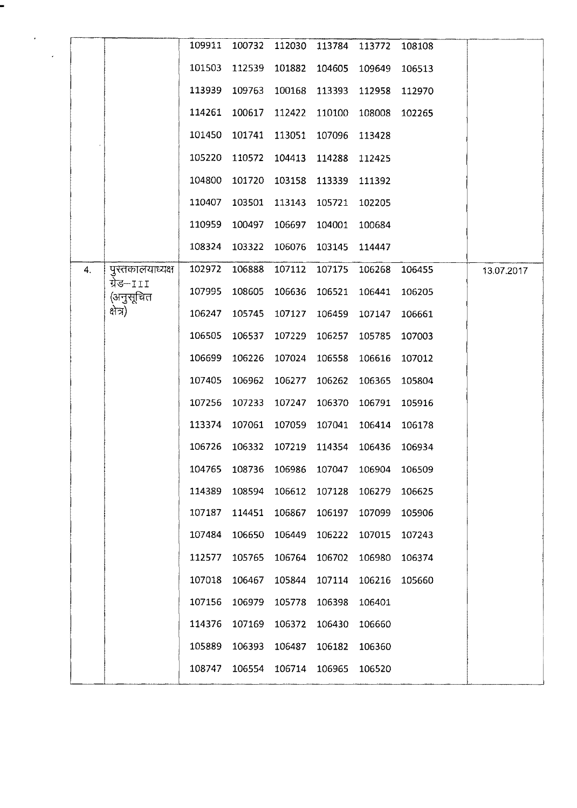|    |                        | 109911 | 100732                                    | 112030 | 113784                      | 113772                             | 108108 |            |
|----|------------------------|--------|-------------------------------------------|--------|-----------------------------|------------------------------------|--------|------------|
|    |                        | 101503 | 112539                                    | 101882 | 104605                      | 109649                             | 106513 |            |
|    |                        | 113939 | 109763                                    | 100168 | 113393                      | 112958                             | 112970 |            |
|    |                        | 114261 | 100617                                    | 112422 | 110100                      | 108008                             | 102265 |            |
|    |                        | 101450 | 101741                                    | 113051 | 107096                      | 113428                             |        |            |
|    |                        | 105220 | 110572                                    | 104413 | 114288                      | 112425                             |        |            |
|    |                        | 104800 | 101720                                    | 103158 | 113339                      | 111392                             |        |            |
|    |                        | 110407 | 103501                                    | 113143 | 105721                      | 102205                             |        |            |
|    |                        | 110959 | 100497                                    | 106697 | 104001                      | 100684                             |        |            |
|    |                        | 108324 | 103322                                    | 106076 | 103145                      | 114447                             |        |            |
| 4. | पुस्तकालयाध्यक्ष       | 102972 | 106888                                    | 107112 | 107175                      | 106268                             | 106455 | 13.07.2017 |
|    | ग्रेड–111<br>(अनुसूचित | 107995 | 108605                                    | 106636 | 106521                      | 106441                             | 106205 |            |
|    | প্ৰন)                  | 106247 | 105745                                    | 107127 | 106459                      | 107147                             | 106661 |            |
|    |                        | 106505 | 106537                                    | 107229 | 106257                      | 105785                             | 107003 |            |
|    |                        | 106699 | 106226                                    | 107024 | 106558                      | 106616                             | 107012 |            |
|    |                        | 107405 | 106962                                    | 106277 | 106262                      | 106365                             | 105804 |            |
|    |                        | 107256 | 107233                                    | 107247 | 106370                      | 106791                             | 105916 |            |
|    |                        | 113374 | 107061                                    | 107059 | 107041                      | 106414                             | 106178 |            |
|    |                        | 106726 |                                           |        | 106332 107219 114354 106436 |                                    | 106934 |            |
|    |                        |        | 104765 108736 106986 107047 106904 106509 |        |                             |                                    |        |            |
|    |                        |        | 114389 108594 106612 107128 106279        |        |                             |                                    | 106625 |            |
|    |                        | 107187 |                                           |        |                             | 114451 106867 106197 107099 105906 |        |            |
|    |                        | 107484 | 106650 106449 106222 107015 107243        |        |                             |                                    |        |            |
|    |                        | 112577 |                                           |        |                             | 105765 106764 106702 106980 106374 |        |            |
|    |                        |        | 107018 106467 105844 107114 106216 105660 |        |                             |                                    |        |            |
|    |                        | 107156 |                                           |        | 106979 105778 106398 106401 |                                    |        |            |
|    |                        | 114376 |                                           |        | 107169 106372 106430 106660 |                                    |        |            |
|    |                        |        | 105889 106393 106487 106182 106360        |        |                             |                                    |        |            |
|    |                        |        | 108747 106554 106714 106965 106520        |        |                             |                                    |        |            |